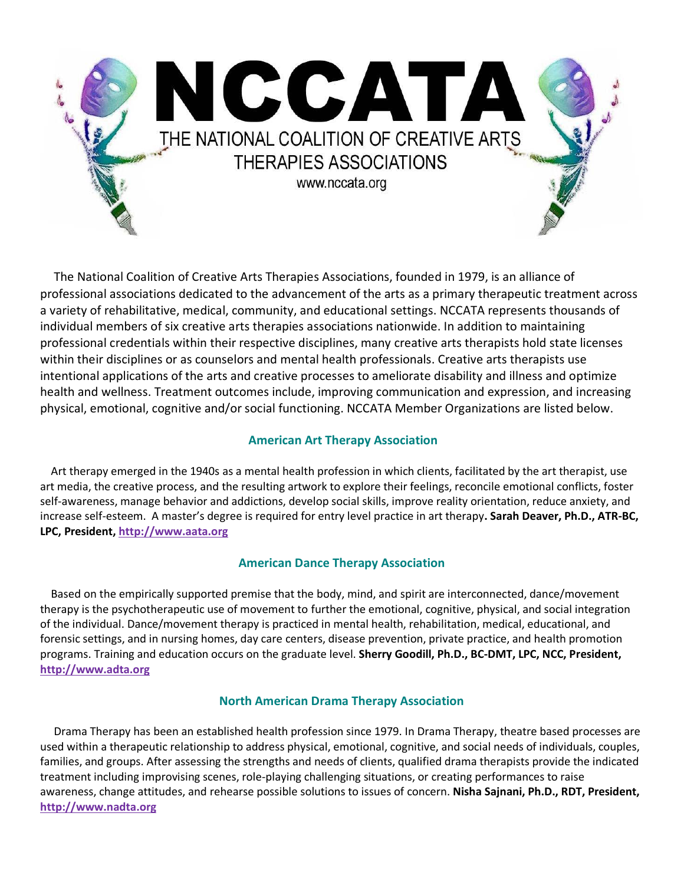

 The National Coalition of Creative Arts Therapies Associations, founded in 1979, is an alliance of professional associations dedicated to the advancement of the arts as a primary therapeutic treatment across a variety of rehabilitative, medical, community, and educational settings. NCCATA represents thousands of individual members of six creative arts therapies associations nationwide. In addition to maintaining professional credentials within their respective disciplines, many creative arts therapists hold state licenses within their disciplines or as counselors and mental health professionals. Creative arts therapists use intentional applications of the arts and creative processes to ameliorate disability and illness and optimize health and wellness. Treatment outcomes include, improving communication and expression, and increasing physical, emotional, cognitive and/or social functioning. NCCATA Member Organizations are listed below.

## **American Art Therapy Association**

 Art therapy emerged in the 1940s as a mental health profession in which clients, facilitated by the art therapist, use art media, the creative process, and the resulting artwork to explore their feelings, reconcile emotional conflicts, foster self-awareness, manage behavior and addictions, develop social skills, improve reality orientation, reduce anxiety, and increase self-esteem. A master's degree is required for entry level practice in art therapy**. Sarah Deaver, Ph.D., ATR-BC, LPC, President, [http://www.aata.org](http://www.aata.org/)**

# **American Dance Therapy Association**

 Based on the empirically supported premise that the body, mind, and spirit are interconnected, dance/movement therapy is the psychotherapeutic use of movement to further the emotional, cognitive, physical, and social integration of the individual. Dance/movement therapy is practiced in mental health, rehabilitation, medical, educational, and forensic settings, and in nursing homes, day care centers, disease prevention, private practice, and health promotion programs. Training and education occurs on the graduate level. **Sherry Goodill, Ph.D., BC-DMT, LPC, NCC, President, [http://www.adta.org](http://www.adta.org/)**

## **North American Drama Therapy Association**

 Drama Therapy has been an established health profession since 1979. In Drama Therapy, theatre based processes are used within a therapeutic relationship to address physical, emotional, cognitive, and social needs of individuals, couples, families, and groups. After assessing the strengths and needs of clients, qualified drama therapists provide the indicated treatment including improvising scenes, role-playing challenging situations, or creating performances to raise awareness, change attitudes, and rehearse possible solutions to issues of concern. **Nisha Sajnani, Ph.D., RDT, President, [http://www.nadta.org](http://www.nadta.org/)**